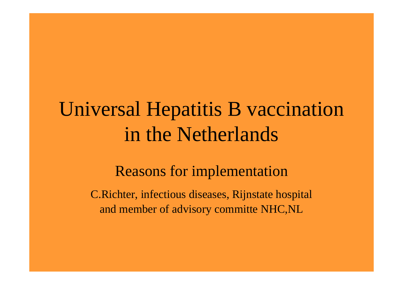### Universal Hepatitis B vaccination in the Netherlands

#### Reasons for implementation

C.Richter, infectious diseases, Rijnstate hospital and member of advisory committe NHC,NL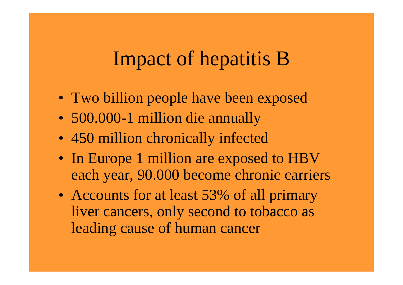#### Impact of hepatitis B

- Two billion people have been exposed
- 500.000-1 million die annually
- 450 million chronically infected
- In Europe 1 million are exposed to HBV each year, 90.000 become chronic carriers
- Accounts for at least 53% of all primary liver cancers, only second to tobacco as leading cause of human cancer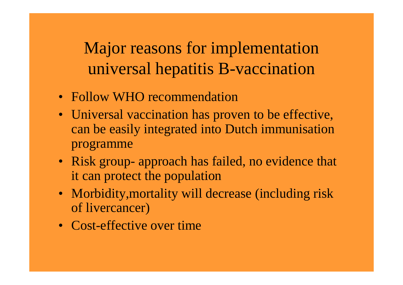Major reasons for implementation universal hepatitis B-vaccination

- Follow WHO recommendation
- Universal vaccination has proven to be effective, can be easily integrated into Dutch immunisation programme
- Risk group- approach has failed, no evidence that it can protect the population
- Morbidity, mortality will decrease (including risk of livercancer)
- Cost-effective over time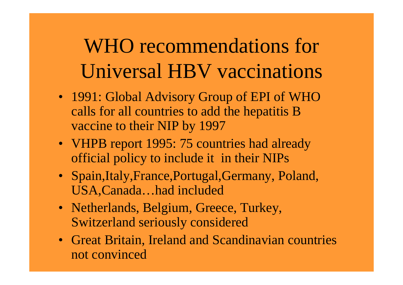WHO recommendations for Universal HBV vaccinations

- 1991: Global Advisory Group of EPI of WHO calls for all countries to add the hepatitis B vaccine to their NIP by 1997
- VHPB report 1995: 75 countries had already official policy to include it in their NIPs
- Spain,Italy,France,Portugal,Germany, Poland, USA,Canada…had included
- Netherlands, Belgium, Greece, Turkey, Switzerland seriously considered
- Great Britain, Ireland and Scandinavian countries not convinced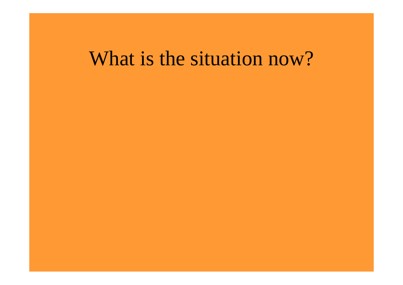#### What is the situation now?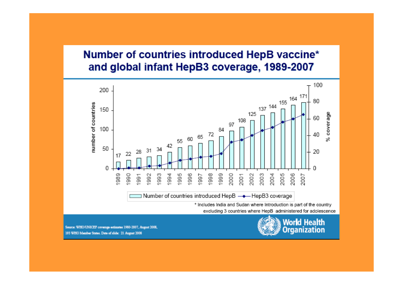#### Number of countries introduced HepB vaccine\* and global infant HepB3 coverage, 1989-2007



Source: WHO/UNICEF coverage estimates 1980-2007, August 2008, 193 WHO Member States. Date of slide: 21 August 2008

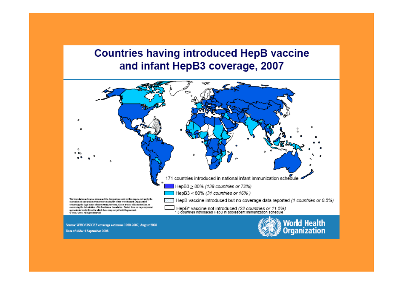#### **Countries having introduced HepB vaccine** and infant HepB3 coverage, 2007



Source: WHO/UNICEF coverage estimates 1980-2007, August 2008

Date of slide: 4 September 2008

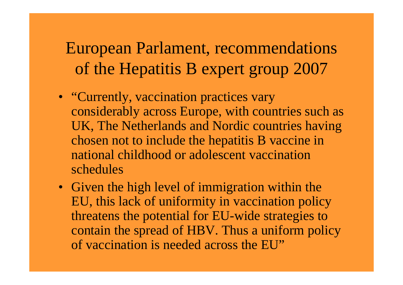#### European Parlament, recommendations of the Hepatitis B expert group 2007

- "Currently, vaccination practices vary considerably across Europe, with countries such as UK, The Netherlands and Nordic countries having chosen not to include the hepatitis B vaccine in national childhood or adolescent vaccination schedules
- Given the high level of immigration within the EU, this lack of uniformity in vaccination policy threatens the potential for EU-wide strategies to contain the spread of HBV. Thus a uniform policy of vaccination is needed across the EU"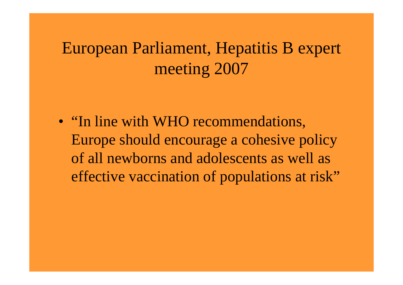#### European Parliament, Hepatitis B expert meeting 2007

• "In line with WHO recommendations, Europe should encourage a cohesive policy of all newborns and adolescents as well as effective vaccination of populations at risk"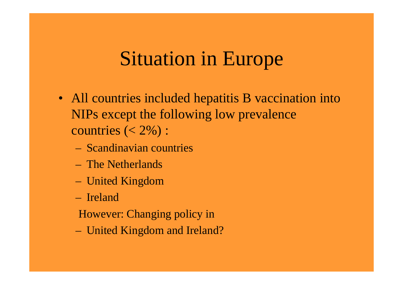### Situation in Europe

- All countries included hepatitis B vaccination into NIPs except the following low prevalence countries  $(< 2\%)$ :
	- Scandinavian countries
	- The Netherlands
	- United Kingdom
	- Ireland
	- However: Changing policy in
	- United Kingdom and Ireland?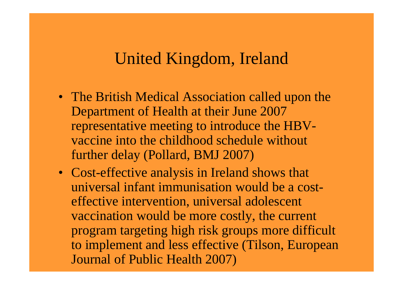#### United Kingdom, Ireland

- The British Medical Association called upon the Department of Health at their June 2007 representative meeting to introduce the HBVvaccine into the childhood schedule without further delay (Pollard, BMJ 2007)
- Cost-effective analysis in Ireland shows that universal infant immunisation would be a costeffective intervention, universal adolescent vaccination would be more costly, the current program targeting high risk groups more difficult to implement and less effective (Tilson, European Journal of Public Health 2007)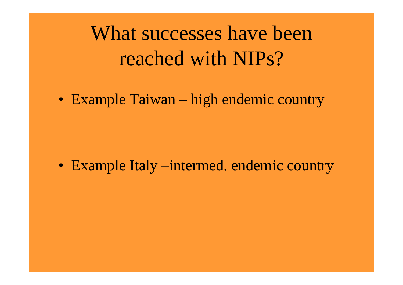What successes have been reached with NIPs?

• Example Taiwan – high endemic country

• Example Italy –intermed. endemic country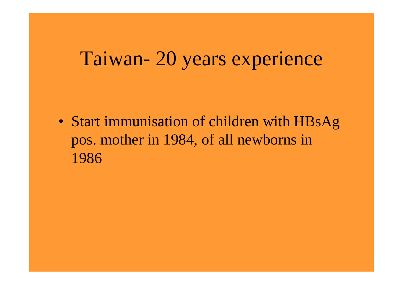### Taiwan- 20 years experience

• Start immunisation of children with HBsAg pos. mother in 1984, of all newborns in 1986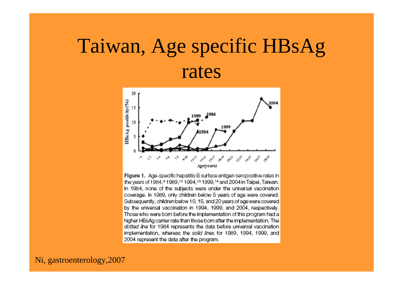### Taiwan, Age specific HBsAg rates



Figure 1. Age-specific hepatitis B surface antigen seropositive rates in the years of 1984,41989,12 1994,13 1999,14 and 2004 in Taipei, Taiwan. In 1984, none of the subjects were under the universal vaccination coverage. In 1989, only children below 5 years of age were covered. Subsequently, children below 10, 15, and 20 years of age were covered by the universal vaccination in 1994, 1999, and 2004, respectively. Those who were born before the implementation of this program had a higher HBsAg carrier rate than those born after the implementation. The dotted line for 1984 represents the data before universal vaccination implementation, whereas the solid lines for 1989, 1994, 1999, and 2004 represent the data after the program.

Ni, gastroenterology,2007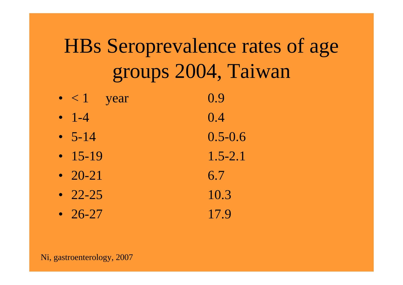## HBs Seroprevalence rates of age groups 2004, Taiwan

- $\bullet$  < 1 year 0.9
- $-1-4$ 0.4
- $5-14$ 0.5-0.6
- 15-19
- 20-21
- 22-25
- 26-27

1.5-2.16.710.317.9

Ni, gastroenterology, 2007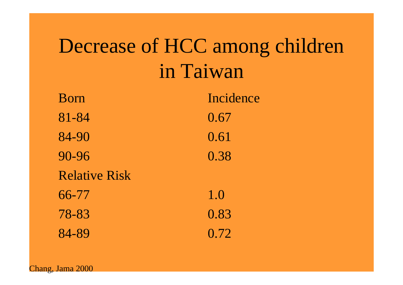### Decrease of HCC among children in Taiwan

| Born                 | Incidence |
|----------------------|-----------|
| 81-84                | 0.67      |
| 84-90                | 0.61      |
| 90-96                | 0.38      |
| <b>Relative Risk</b> |           |
| 66-77                | 1.0       |
| 78-83                | 0.83      |
| 84-89                | 0.72      |

Chang, Jama 2000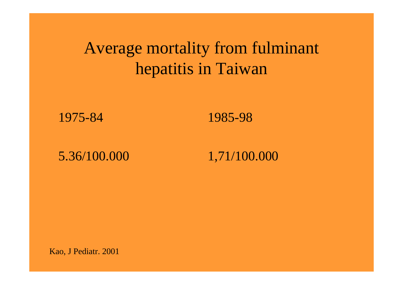#### Average mortality from fulminant hepatitis in Taiwan

1975-84

1985-98

5.36/100.000

1,71/100.000

Kao, J Pediatr. 2001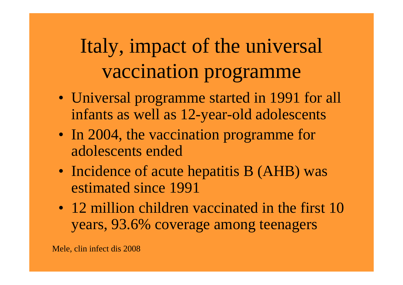## Italy, impact of the universal vaccination programme

- Universal programme started in 1991 for all infants as well as 12-year-old adolescents
- In 2004, the vaccination programme for adolescents ended
- Incidence of acute hepatitis B (AHB) was estimated since 1991
- 12 million children vaccinated in the first 10 years, 93.6% coverage among teenagers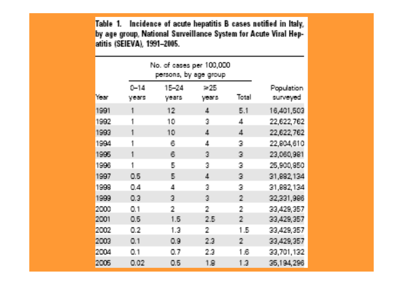Table 1. Incidence of acute hepatitis B cases notified in Italy, by age group, National Surveillance System for Acute Viral Hepatitis (SEIEVA), 1991-2005.

|      |                   | No. of cases per 100,000<br>persons, by age group |                          |              |                        |
|------|-------------------|---------------------------------------------------|--------------------------|--------------|------------------------|
| Year | $0 - 14$<br>years | 15-24<br>years                                    | 36.ZB<br>years.          | Total        | Population<br>surveyed |
| 1991 | 1                 | 12                                                | 4                        | 5.1          | 16,401,503             |
| 1992 |                   | 10                                                | 3                        | 4            | 22,622,762             |
| 1993 | 1                 | 10                                                | A.                       | $\Delta$     | 22,622,762             |
| 1994 | 1                 | 6                                                 | 4                        | 3            | 22,804,610             |
| 1995 | 1                 | 6                                                 | $\overline{\mathcal{A}}$ | $\mathbb{R}$ | 23,060,981             |
| 1996 | 1                 | 5                                                 | 3                        | 3            | 25,900,950             |
| 1997 | 0.5               | R                                                 | 4                        | 3            | 31,882,134             |
| 1999 | 0.4               | 4                                                 | 3                        | 3            | 31,892,134             |
| 1999 | 0.3               | $\overline{\mathbf{3}}$                           | $\overline{\mathcal{A}}$ | 2            | 32,331,996             |
| 2000 | 0.1               | $\overline{2}$                                    | 2                        | 2            | 33,429,357             |
| 2001 | 0.5               | 1.6                                               | 2.5                      | 2            | 33,429,357             |
| 2002 | 0.2               | 1.3                                               | 2                        | 1.5          | 33,429,357             |
| 2000 | 0.1               | 0.9                                               | 23                       | 2            | 33,429,357             |
| 2004 | 0.1               | 0.7                                               | 23                       | 1.6          | 33,701,132             |
| 2005 | 0.02              | 0.6                                               | 1.8                      | 1.3          | 35,194,296             |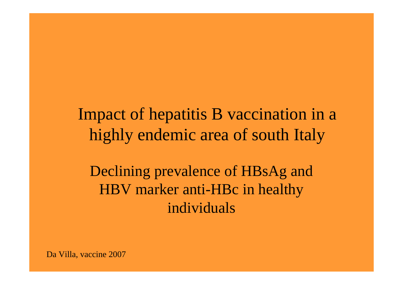Impact of hepatitis B vaccination in a highly endemic area of south Italy

Declining prevalence of HBsAg and HBV marker anti-HBc in healthy individuals

Da Villa, vaccine 2007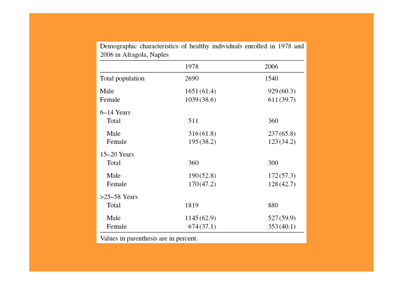|                  | 1978        | 2006       |
|------------------|-------------|------------|
| Total population | 2690        | 1540       |
| Male             | 1651 (61.4) | 929 (60.3) |
| Female           | 1039 (38.6) | 611 (39.7) |
| 6-14 Years       |             |            |
| Total            | 511         | 360        |
| Male             | 316(61.8)   | 237 (65.8) |
| Female           | 195 (38.2)  | 123 (34.2) |
| 15-20 Years      |             |            |
| Total            | 360         | 300        |
| Male             | 190(52.8)   | 172(57.3)  |
| Female           | 170(47.2)   | 128 (42.7) |
| $>25-58$ Years   |             |            |
| Total            | 1819        | 880        |
| Male             | 1145 (62.9) | 527 (59.9) |
| Female           | 674(37.1)   | 353 (40.1) |

Demographic characteristics of healthy individuals enrolled in 1978 and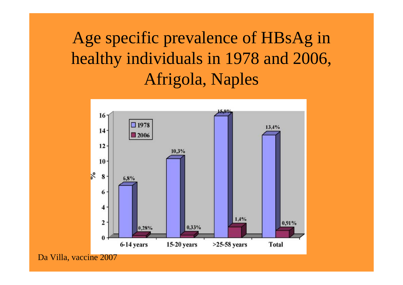#### Age specific prevalence of HBsAg in healthy individuals in 1978 and 2006, Afrigola, Naples



Da Villa, vaccine 2007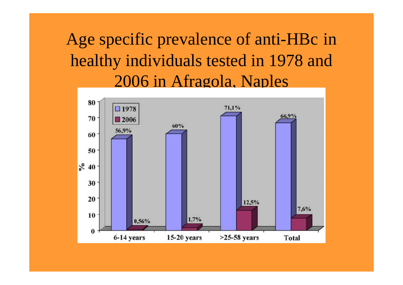Age specific prevalence of anti-HBc in healthy individuals tested in 1978 and 2006 in Afragola, Naples

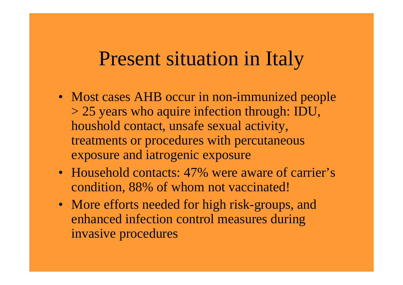#### Present situation in Italy

- Most cases AHB occur in non-immunized people > 25 years who aquire infection through: IDU, houshold contact, unsafe sexual activity, treatments or procedures with percutaneous exposure and iatrogenic exposure
- Household contacts: 47% were aware of carrier's condition, 88% of whom not vaccinated!
- More efforts needed for high risk-groups, and enhanced infection control measures during invasive procedures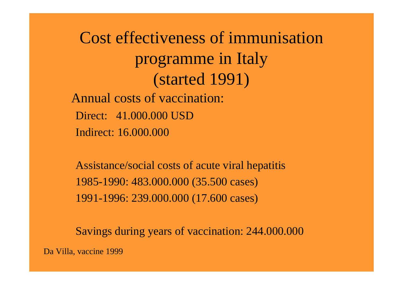Cost effectiveness of immunisation programme in Italy (started 1991) Annual costs of vaccination: Direct: 41.000.000 USDIndirect: 16.000.000

Assistance/social costs of acute viral hepatitis 1985-1990: 483.000.000 (35.500 cases) 1991-1996: 239.000.000 (17.600 cases)

Savings during years of vaccination: 244.000.000

Da Villa, vaccine 1999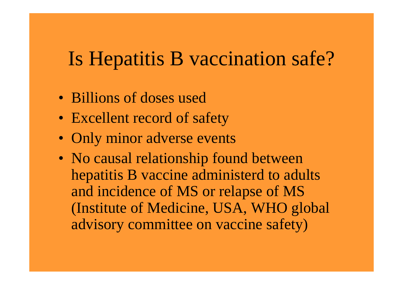### Is Hepatitis B vaccination safe?

- Billions of doses used
- Excellent record of safety
- Only minor adverse events
- No causal relationship found between hepatitis B vaccine administerd to adults and incidence of MS or relapse of MS (Institute of Medicine, USA, WHO global advisory committee on vaccine safety)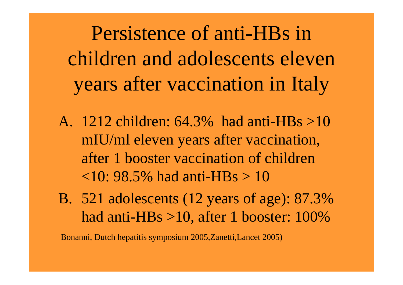Persistence of anti-HBs in children and adolescents eleven years after vaccination in Italy

- A. 1212 children: 64.3% had anti-HBs >10 mIU/ml eleven years after vaccination, after 1 booster vaccination of children  $\langle 10: 98.5\%$  had anti-HBs  $> 10$
- B. 521 adolescents (12 years of age): 87.3% had anti-HBs >10, after 1 booster: 100%

Bonanni, Dutch hepatitis symposium 2005,Zanetti,Lancet 2005)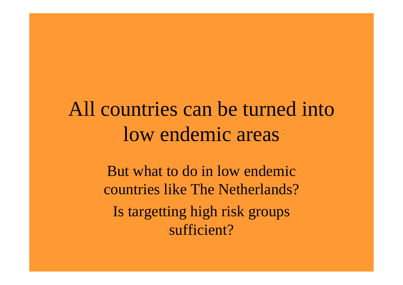### All countries can be turned into low endemic areas

But what to do in low endemic countries like The Netherlands?Is targetting high risk groups sufficient?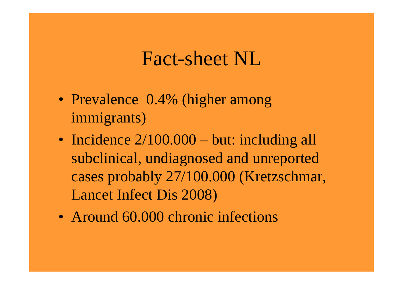#### Fact-sheet NL

- Prevalence 0.4% (higher among immigrants)
- Incidence  $2/100.000 \text{but: including all}$ subclinical, undiagnosed and unreported cases probably 27/100.000 (Kretzschmar, Lancet Infect Dis 2008)
- Around 60.000 chronic infections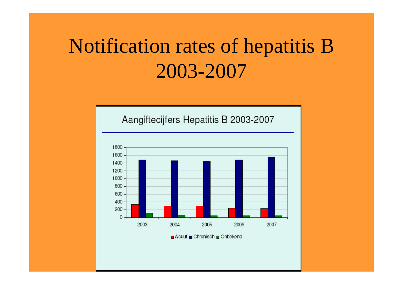### Notification rates of hepatitis B 2003-2007

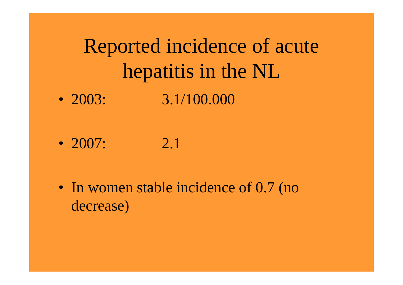### Reported incidence of acute hepatitis in the NL • 2003: 3.1/100.000

•  $2007: 2.1$ 

• In women stable incidence of 0.7 (no decrease)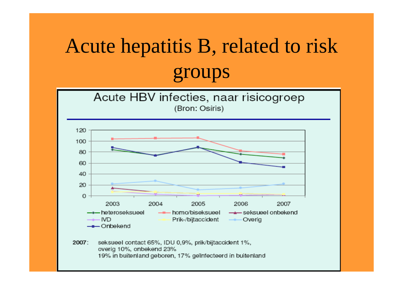# Acute hepatitis B, related to risk groups



overig 10%, onbekend 23%

19% in buitenland geboren, 17% geïnfecteerd in buitenland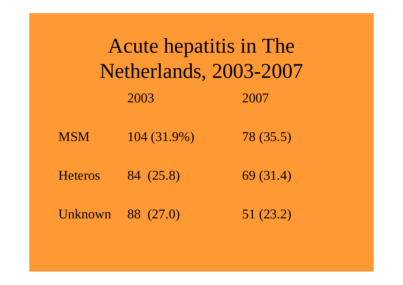| Acute hepatitis in The<br>Netherlands, 2003-2007 |             |           |  |  |  |
|--------------------------------------------------|-------------|-----------|--|--|--|
|                                                  | 2003        | 2007      |  |  |  |
| <b>MSM</b>                                       | 104 (31.9%) | 78(35.5)  |  |  |  |
| <b>Heteros</b>                                   | 84 (25.8)   | 69 (31.4) |  |  |  |
| Unknown                                          | 88 (27.0)   | 51 (23.2) |  |  |  |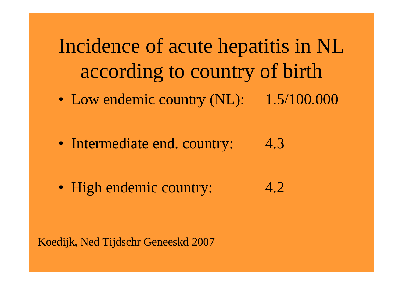Incidence of acute hepatitis in NL according to country of birth

• Low endemic country (NL): 1.5/100.000

• Intermediate end. country: 4.3

• High endemic country: 4.2

Koedijk, Ned Tijdschr Geneeskd 2007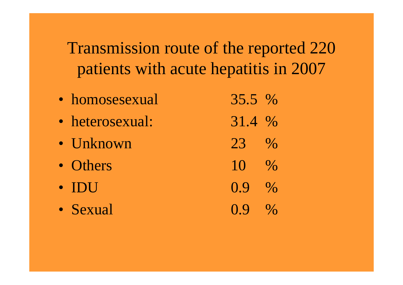Transmission route of the reported 220 patients with acute hepatitis in 2007

• homosesexual 35.5 % • heterosexual: 31.4 % • Unknown  $23 \frac{9}{6}$ • Others  $10 \frac{9}{6}$ • IDU  $0.9\%$ • Sexual  $0.9\%$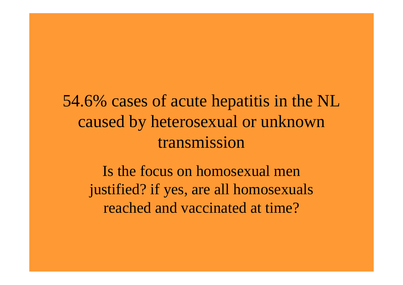54.6% cases of acute hepatitis in the NL caused by heterosexual or unknown transmission

Is the focus on homosexual men justified? if yes, are all homosexuals reached and vaccinated at time?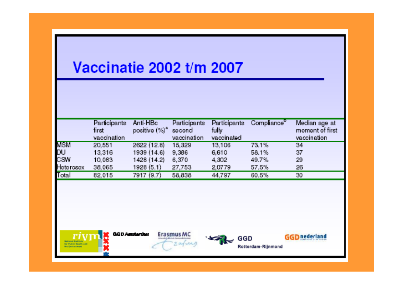#### Vaccinatie 2002 t/m 2007

| <b>Participants</b><br>first |             |                                                                                  | fully                                                                                                   |                                                        | Median age at<br>moment of first      |
|------------------------------|-------------|----------------------------------------------------------------------------------|---------------------------------------------------------------------------------------------------------|--------------------------------------------------------|---------------------------------------|
|                              |             |                                                                                  |                                                                                                         |                                                        | vaccination                           |
| 20,551                       |             |                                                                                  | 13,106                                                                                                  | 73.1%                                                  | 34                                    |
| 13,316                       |             |                                                                                  |                                                                                                         |                                                        | 37                                    |
| 10,083                       |             |                                                                                  |                                                                                                         |                                                        | 29                                    |
| 38,065                       |             |                                                                                  |                                                                                                         |                                                        | 26                                    |
| 82,015                       |             |                                                                                  | 44,797                                                                                                  | 60.5%                                                  | 30                                    |
|                              | vaccination | Anti-HBc<br>2622 (12.8)<br>1939 (14.6)<br>1428 (14.2)<br>1928(5.1)<br>7917 (9.7) | Participants<br>positive $(\%)^a$ second<br>vaccination<br>15,329<br>9,386<br>6,370<br>27,753<br>58,838 | Participants<br>vaccinated<br>6,610<br>4,302<br>2,0779 | Compliance<br>58.1%<br>49.7%<br>57.5% |











Rotterdam-Rijnmond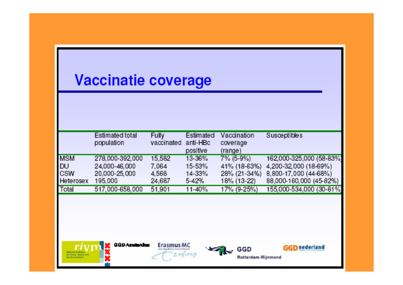#### **Vaccinatie coverage**

|            | Estimated total | <b>Fully</b> | Estimated  | Vaccination      | <b>Susceptibles</b>      |
|------------|-----------------|--------------|------------|------------------|--------------------------|
|            | population      | vaccinated   | anti-HBc   | coverage         |                          |
|            |                 |              | positive   | $(\text{range})$ |                          |
| <b>MSM</b> | 278,000-392,000 | 15,582       | 13-36%     | 7% (5-9%)        | 162,000-325,000 (58-83%) |
| <b>DU</b>  | 24,000-46,000   | 7.064        | 15-53%     | 41% (18-63%)     | 4,200-32,000 (18-69%)    |
| <b>CSW</b> | 20,000-25,000   | 4,568        | 14-33%     | 28% (21-34%)     | 8,800-17,000 (44-68%)    |
| Heterosex  | 195,000         | 24,687       | $5-42%$    | 18% (13-22)      | 88,000-160,000 (45-82%)  |
| Total      | 517,000-658,000 | 51,901       | $11 - 40%$ | 17% (9-25%)      | 155,000-534,000 (30-81%) |







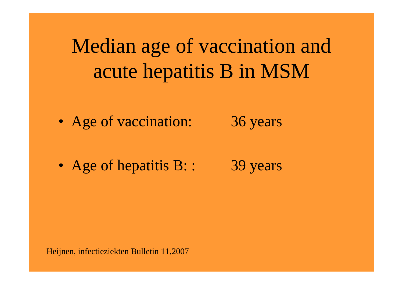Median age of vaccination and acute hepatitis B in MSM

• Age of vaccination: 36 years

• Age of hepatitis B:: 39 years

Heijnen, infectieziekten Bulletin 11,2007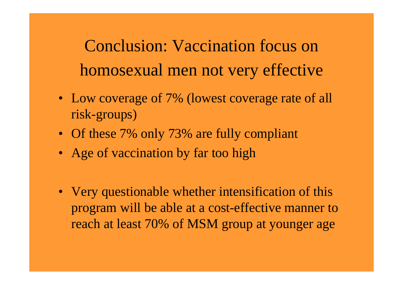Conclusion: Vaccination focus on homosexual men not very effective

- Low coverage of 7% (lowest coverage rate of all risk-groups)
- Of these 7% only 73% are fully compliant
- Age of vaccination by far too high
- Very questionable whether intensification of this program will be able at a cost-effective manner to reach at least 70% of MSM group at younger age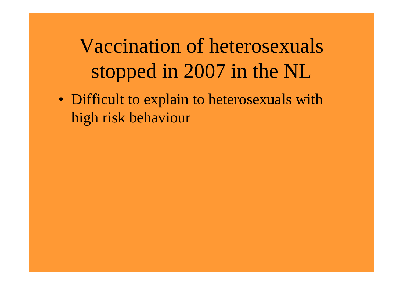Vaccination of heterosexuals stopped in 2007 in the NL

• Difficult to explain to heterosexuals with high risk behaviour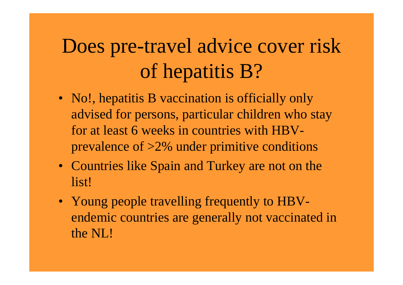## Does pre-travel advice cover risk of hepatitis B?

- No!, hepatitis B vaccination is officially only advised for persons, particular children who stay for at least 6 weeks in countries with HBVprevalence of >2% under primitive conditions
- Countries like Spain and Turkey are not on the list!
- Young people travelling frequently to HBVendemic countries are generally not vaccinated in the NL!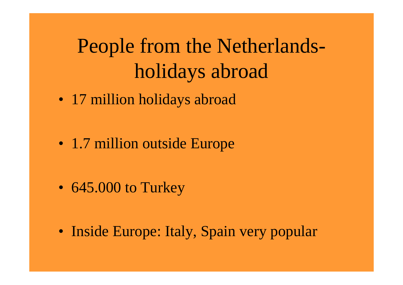### People from the Netherlandsholidays abroad

• 17 million holidays abroad

• 1.7 million outside Europe

• 645.000 to Turkey

• Inside Europe: Italy, Spain very popular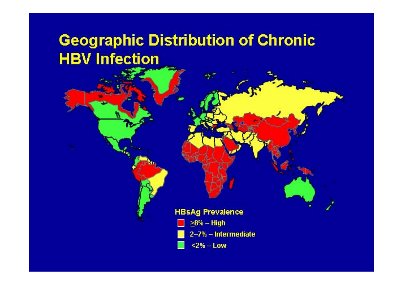#### **Geographic Distribution of Chronic HBV Infection**

**HBsAg Prevalence** 



2-7% - Intermediate

 $2\% - Low$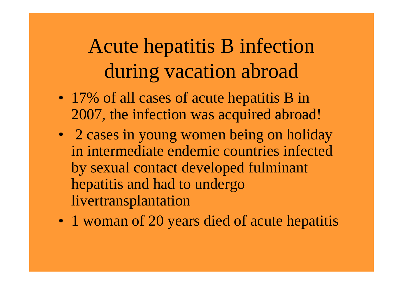## Acute hepatitis B infection during vacation abroad

- 17% of all cases of acute hepatitis B in 2007, the infection was acquired abroad!
- 2 cases in young women being on holiday in intermediate endemic countries infected by sexual contact developed fulminant hepatitis and had to undergo livertransplantation
- 1 woman of 20 years died of acute hepatitis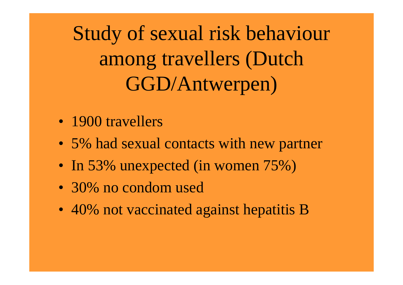Study of sexual risk behaviour among travellers (Dutch GGD/Antwerpen)

- 1900 travellers
- 5% had sexual contacts with new partner
- In 53% unexpected (in women 75%)
- 30% no condom used
- 40% not vaccinated against hepatitis B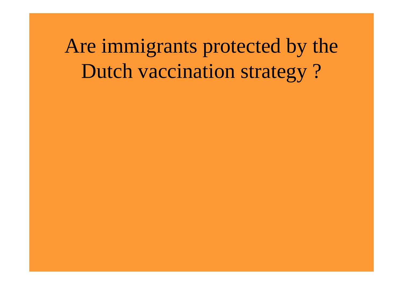Are immigrants protected by the Dutch vaccination strategy ?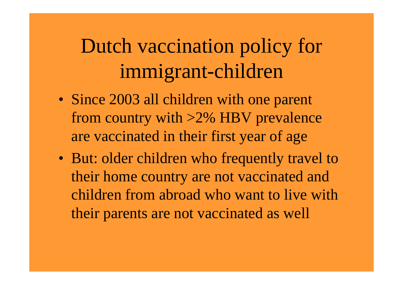### Dutch vaccination policy for immigrant-children

- Since 2003 all children with one parent from country with >2% HBV prevalence are vaccinated in their first year of age
- But: older children who frequently travel to their home country are not vaccinated and children from abroad who want to live with their parents are not vaccinated as well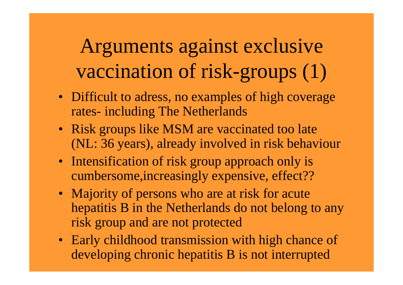Arguments against exclusive vaccination of risk-groups (1)

- Difficult to adress, no examples of high coverage rates- including The Netherlands
- Risk groups like MSM are vaccinated too late (NL: 36 years), already involved in risk behaviour
- Intensification of risk group approach only is cumbersome,increasingly expensive, effect??
- Majority of persons who are at risk for acute hepatitis B in the Netherlands do not belong to any risk group and are not protected
- Early childhood transmission with high chance of developing chronic hepatitis B is not interrupted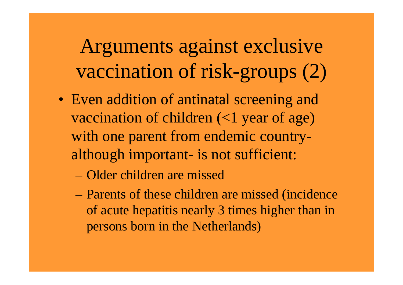Arguments against exclusive vaccination of risk-groups (2)

- Even addition of antinatal screening and vaccination of children (<1 year of age) with one parent from endemic countryalthough important- is not sufficient:
	- Older children are missed
	- Parents of these children are missed (incidence of acute hepatitis nearly 3 times higher than in persons born in the Netherlands)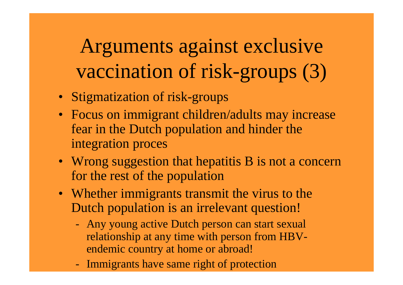Arguments against exclusive vaccination of risk-groups (3)

- Stigmatization of risk-groups
- Focus on immigrant children/adults may increase fear in the Dutch population and hinder the integration proces
- Wrong suggestion that hepatitis B is not a concern for the rest of the population
- Whether immigrants transmit the virus to the Dutch population is an irrelevant question!
	- Any young active Dutch person can start sexual relationship at any time with person from HBVendemic country at home or abroad!
	- Immigrants have same right of protection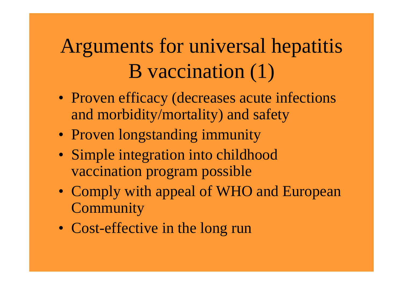## Arguments for universal hepatitis B vaccination (1)

- Proven efficacy (decreases acute infections and morbidity/mortality) and safety
- Proven longstanding immunity
- Simple integration into childhood vaccination program possible
- Comply with appeal of WHO and European **Community**
- Cost-effective in the long run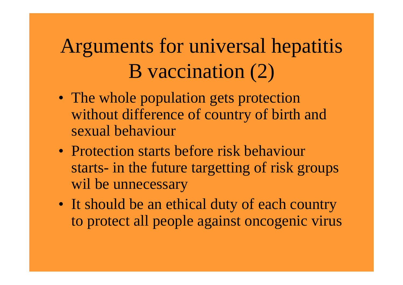## Arguments for universal hepatitis B vaccination (2)

- The whole population gets protection without difference of country of birth and sexual behaviour
- Protection starts before risk behaviour starts- in the future targetting of risk groups wil be unnecessary
- It should be an ethical duty of each country to protect all people against oncogenic virus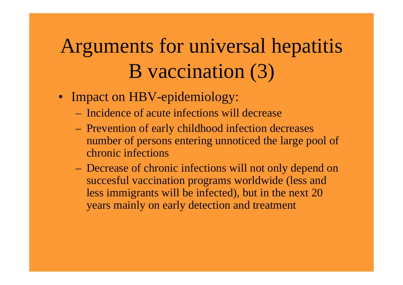## Arguments for universal hepatitis B vaccination (3)

- Impact on HBV-epidemiology:
	- Incidence of acute infections will decrease
	- Prevention of early childhood infection decreases number of persons entering unnoticed the large pool of chronic infections
	- Decrease of chronic infections will not only depend on succesful vaccination programs worldwide (less and less immigrants will be infected), but in the next 20 years mainly on early detection and treatment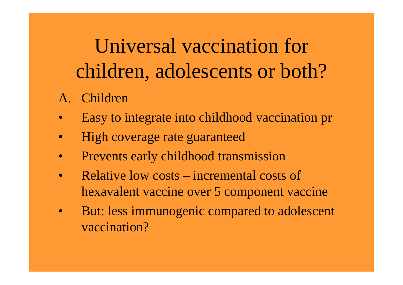Universal vaccination for children, adolescents or both?

- A. Children
- Easy to integrate into childhood vaccination pr
- High coverage rate guaranteed
- Prevents early childhood transmission
- Relative low costs incremental costs of hexavalent vaccine over 5 component vaccine
- But: less immunogenic compared to adolescent vaccination?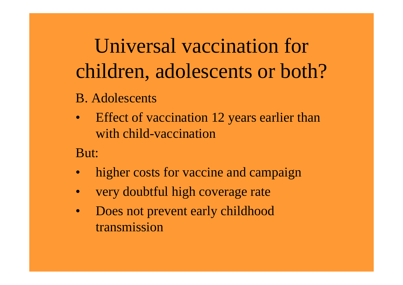Universal vaccination for children, adolescents or both?

- B. Adolescents
- Effect of vaccination 12 years earlier than with child-vaccination

But:

- higher costs for vaccine and campaign
- very doubtful high coverage rate
- Does not prevent early childhood transmission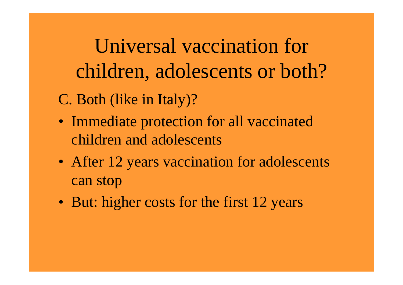Universal vaccination for children, adolescents or both? C. Both (like in Italy)?

- Immediate protection for all vaccinated children and adolescents
- After 12 years vaccination for adolescents can stop
- But: higher costs for the first 12 years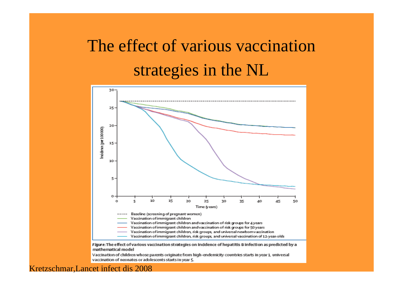### The effect of various vaccination strategies in the NL



Vaccination of children whose parents originate from high-endemicity countries starts in year 1, universal vaccination of neonates or adolescents starts in year 5.

#### Kretzschmar,Lancet infect dis 2008